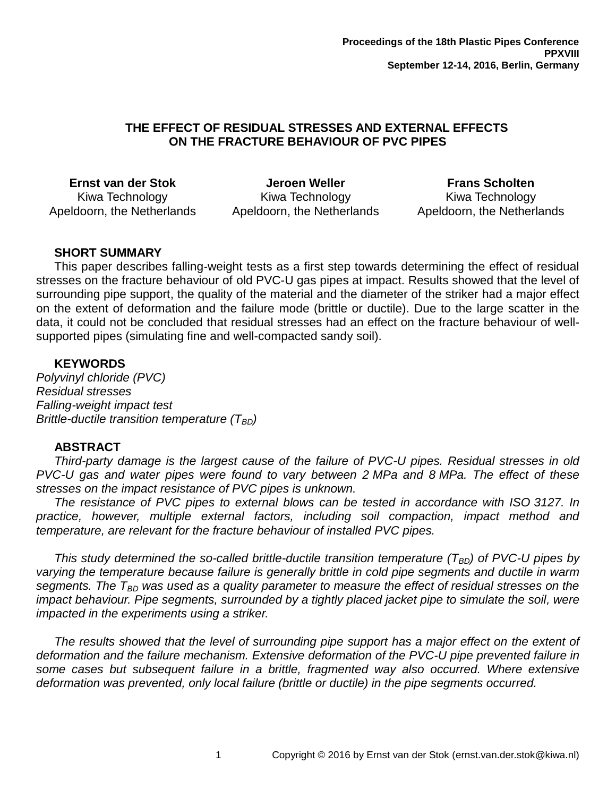## **THE EFFECT OF RESIDUAL STRESSES AND EXTERNAL EFFECTS ON THE FRACTURE BEHAVIOUR OF PVC PIPES**

**Ernst van der Stok** Kiwa Technology Apeldoorn, the Netherlands

**Jeroen Weller** Kiwa Technology Apeldoorn, the Netherlands

**Frans Scholten** Kiwa Technology Apeldoorn, the Netherlands

# **SHORT SUMMARY**

This paper describes falling-weight tests as a first step towards determining the effect of residual stresses on the fracture behaviour of old PVC-U gas pipes at impact. Results showed that the level of surrounding pipe support, the quality of the material and the diameter of the striker had a major effect on the extent of deformation and the failure mode (brittle or ductile). Due to the large scatter in the data, it could not be concluded that residual stresses had an effect on the fracture behaviour of wellsupported pipes (simulating fine and well-compacted sandy soil).

## **KEYWORDS**

*Polyvinyl chloride (PVC) Residual stresses Falling-weight impact test Brittle-ductile transition temperature (T<sub>BD</sub>)* 

## **ABSTRACT**

*Third-party damage is the largest cause of the failure of PVC-U pipes. Residual stresses in old PVC-U gas and water pipes were found to vary between 2 MPa and 8 MPa. The effect of these stresses on the impact resistance of PVC pipes is unknown.*

The resistance of PVC pipes to external blows can be tested in accordance with ISO 3127. In *practice, however, multiple external factors, including soil compaction, impact method and temperature, are relevant for the fracture behaviour of installed PVC pipes.*

*This study determined the so-called brittle-ductile transition temperature (TBD) of PVC-U pipes by varying the temperature because failure is generally brittle in cold pipe segments and ductile in warm segments. The TBD was used as a quality parameter to measure the effect of residual stresses on the impact behaviour. Pipe segments, surrounded by a tightly placed jacket pipe to simulate the soil, were impacted in the experiments using a striker.*

*The results showed that the level of surrounding pipe support has a major effect on the extent of deformation and the failure mechanism. Extensive deformation of the PVC-U pipe prevented failure in some cases but subsequent failure in a brittle, fragmented way also occurred. Where extensive deformation was prevented, only local failure (brittle or ductile) in the pipe segments occurred.*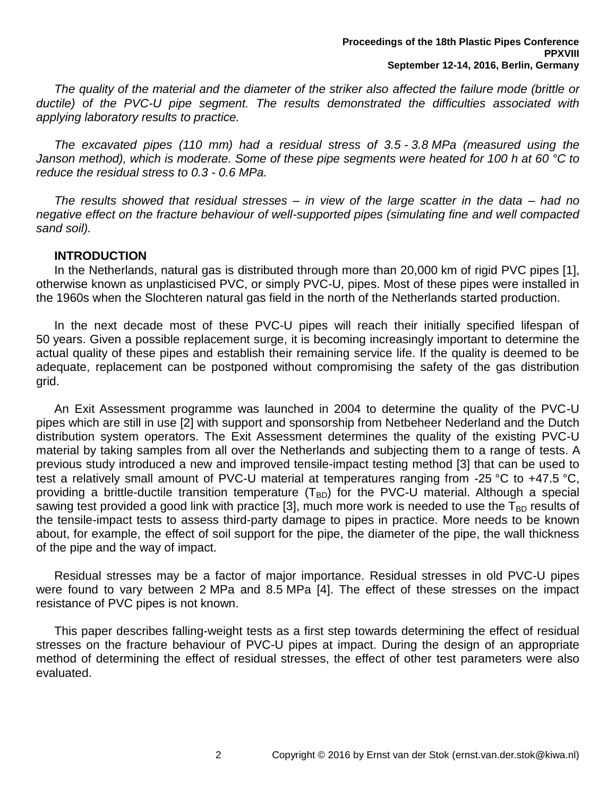*The quality of the material and the diameter of the striker also affected the failure mode (brittle or ductile) of the PVC-U pipe segment. The results demonstrated the difficulties associated with applying laboratory results to practice.*

*The excavated pipes (110 mm) had a residual stress of 3.5 - 3.8 MPa (measured using the Janson method), which is moderate. Some of these pipe segments were heated for 100 h at 60 °C to reduce the residual stress to 0.3 - 0.6 MPa.*

*The results showed that residual stresses – in view of the large scatter in the data – had no negative effect on the fracture behaviour of well-supported pipes (simulating fine and well compacted sand soil).*

# **INTRODUCTION**

In the Netherlands, natural gas is distributed through more than 20,000 km of rigid PVC pipes [1], otherwise known as unplasticised PVC, or simply PVC-U, pipes. Most of these pipes were installed in the 1960s when the Slochteren natural gas field in the north of the Netherlands started production.

In the next decade most of these PVC-U pipes will reach their initially specified lifespan of 50 years. Given a possible replacement surge, it is becoming increasingly important to determine the actual quality of these pipes and establish their remaining service life. If the quality is deemed to be adequate, replacement can be postponed without compromising the safety of the gas distribution grid.

<span id="page-1-0"></span>An Exit Assessment programme was launched in 2004 to determine the quality of the PVC-U pipes which are still in use [2] with support and sponsorship from Netbeheer Nederland and the Dutch distribution system operators. The Exit Assessment determines the quality of the existing PVC-U material by taking samples from all over the Netherlands and subjecting them to a range of tests. A previous study introduced a new and improved tensile-impact testing method [3] that can be used to test a relatively small amount of PVC-U material at temperatures ranging from -25 °C to +47.5 °C, providing a brittle-ductile transition temperature  $(T_{BD})$  for the PVC-U material. Although a special sawing test provided a good link with practice [\[3\]](#page-1-0), much more work is needed to use the  $T_{BD}$  results of the tensile-impact tests to assess third-party damage to pipes in practice. More needs to be known about, for example, the effect of soil support for the pipe, the diameter of the pipe, the wall thickness of the pipe and the way of impact.

Residual stresses may be a factor of major importance. Residual stresses in old PVC-U pipes were found to vary between 2 MPa and 8.5 MPa [4]. The effect of these stresses on the impact resistance of PVC pipes is not known.

This paper describes falling-weight tests as a first step towards determining the effect of residual stresses on the fracture behaviour of PVC-U pipes at impact. During the design of an appropriate method of determining the effect of residual stresses, the effect of other test parameters were also evaluated.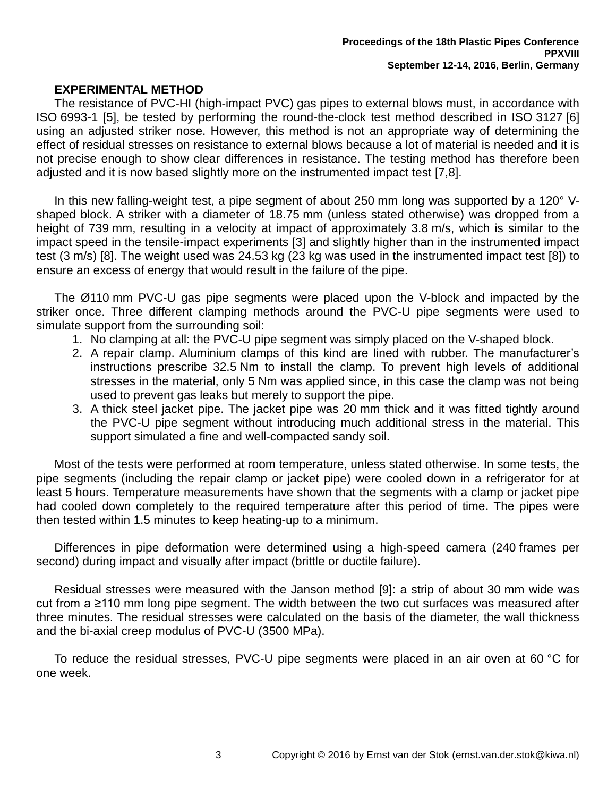## <span id="page-2-0"></span>**EXPERIMENTAL METHOD**

The resistance of PVC-HI (high-impact PVC) gas pipes to external blows must, in accordance with ISO 6993-1 [5], be tested by performing the round-the-clock test method described in ISO 3127 [6] using an adjusted striker nose. However, this method is not an appropriate way of determining the effect of residual stresses on resistance to external blows because a lot of material is needed and it is not precise enough to show clear differences in resistance. The testing method has therefore been adjusted and it is now based slightly more on the instrumented impact test [7,8].

In this new falling-weight test, a pipe segment of about 250 mm long was supported by a 120° Vshaped block. A striker with a diameter of 18.75 mm (unless stated otherwise) was dropped from a height of 739 mm, resulting in a velocity at impact of approximately 3.8 m/s, which is similar to the impact speed in the tensile-impact experiments [\[3\]](#page-1-0) and slightly higher than in the instrumented impact test (3 m/s) [\[8\]](#page-2-0). The weight used was 24.53 kg (23 kg was used in the instrumented impact test [\[8\]](#page-2-0)) to ensure an excess of energy that would result in the failure of the pipe.

The Ø110 mm PVC-U gas pipe segments were placed upon the V-block and impacted by the striker once. Three different clamping methods around the PVC-U pipe segments were used to simulate support from the surrounding soil:

- 1. No clamping at all: the PVC-U pipe segment was simply placed on the V-shaped block.
- 2. A repair clamp. Aluminium clamps of this kind are lined with rubber. The manufacturer's instructions prescribe 32.5 Nm to install the clamp. To prevent high levels of additional stresses in the material, only 5 Nm was applied since, in this case the clamp was not being used to prevent gas leaks but merely to support the pipe.
- 3. A thick steel jacket pipe. The jacket pipe was 20 mm thick and it was fitted tightly around the PVC-U pipe segment without introducing much additional stress in the material. This support simulated a fine and well-compacted sandy soil.

Most of the tests were performed at room temperature, unless stated otherwise. In some tests, the pipe segments (including the repair clamp or jacket pipe) were cooled down in a refrigerator for at least 5 hours. Temperature measurements have shown that the segments with a clamp or jacket pipe had cooled down completely to the required temperature after this period of time. The pipes were then tested within 1.5 minutes to keep heating-up to a minimum.

Differences in pipe deformation were determined using a high-speed camera (240 frames per second) during impact and visually after impact (brittle or ductile failure).

<span id="page-2-1"></span>Residual stresses were measured with the Janson method [9]: a strip of about 30 mm wide was cut from a ≥110 mm long pipe segment. The width between the two cut surfaces was measured after three minutes. The residual stresses were calculated on the basis of the diameter, the wall thickness and the bi-axial creep modulus of PVC-U (3500 MPa).

To reduce the residual stresses, PVC-U pipe segments were placed in an air oven at 60 °C for one week.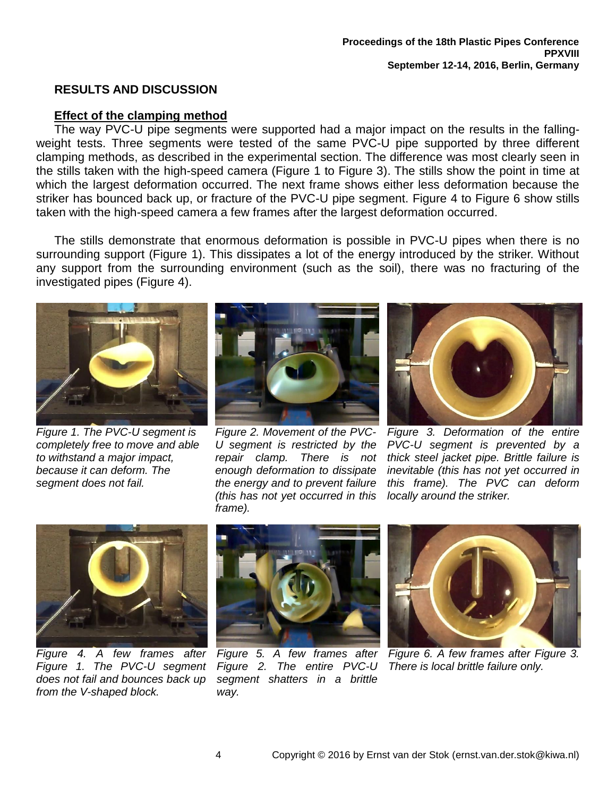## **RESULTS AND DISCUSSION**

## **Effect of the clamping method**

The way PVC-U pipe segments were supported had a major impact on the results in the fallingweight tests. Three segments were tested of the same PVC-U pipe supported by three different clamping methods, as described in the experimental section. The difference was most clearly seen in the stills taken with the high-speed camera [\(Figure 1](#page-3-0) to [Figure 3\)](#page-3-1). The stills show the point in time at which the largest deformation occurred. The next frame shows either less deformation because the striker has bounced back up, or fracture of the PVC-U pipe segment. [Figure 4](#page-3-2) to [Figure 6](#page-3-3) show stills taken with the high-speed camera a few frames after the largest deformation occurred.

The stills demonstrate that enormous deformation is possible in PVC-U pipes when there is no surrounding support [\(Figure 1\)](#page-3-0). This dissipates a lot of the energy introduced by the striker. Without any support from the surrounding environment (such as the soil), there was no fracturing of the investigated pipes [\(Figure 4\)](#page-3-2).



*Figure 1. The PVC-U segment is completely free to move and able to withstand a major impact, because it can deform. The segment does not fail.*



*Figure 2. Movement of the PVC-U segment is restricted by the repair clamp. There is not enough deformation to dissipate the energy and to prevent failure (this has not yet occurred in this frame).*



*Figure 3. Deformation of the entire PVC-U segment is prevented by a thick steel jacket pipe. Brittle failure is inevitable (this has not yet occurred in this frame). The PVC can deform locally around the striker.*

<span id="page-3-2"></span><span id="page-3-0"></span>

*Figure 4. A few frames after [Figure 1.](#page-3-0) The PVC-U segment does not fail and bounces back up from the V-shaped block.*

<span id="page-3-5"></span><span id="page-3-4"></span>

*Figure 5. A few frames after [Figure 2.](#page-3-4) The entire PVC-U segment shatters in a brittle way.*

<span id="page-3-3"></span><span id="page-3-1"></span>

*Figure 6. A few frames after [Figure 3.](#page-3-1) There is local brittle failure only.*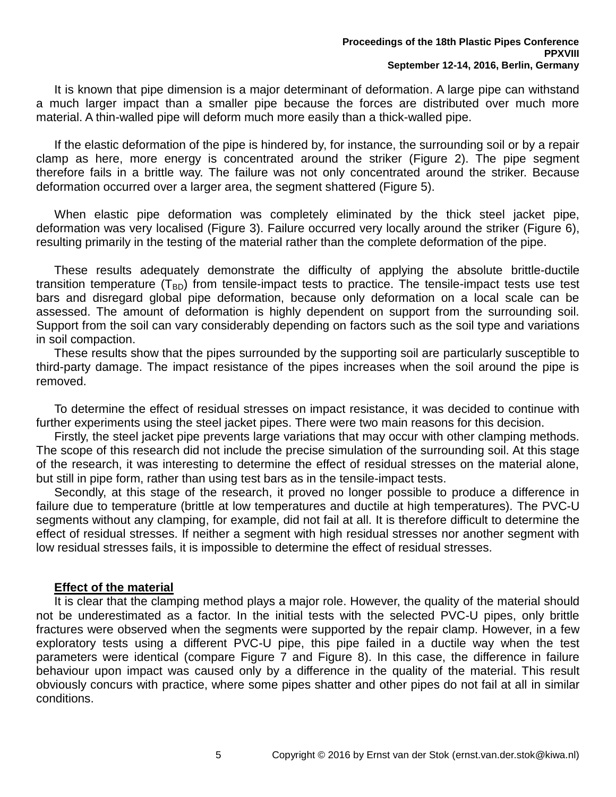It is known that pipe dimension is a major determinant of deformation. A large pipe can withstand a much larger impact than a smaller pipe because the forces are distributed over much more material. A thin-walled pipe will deform much more easily than a thick-walled pipe.

If the elastic deformation of the pipe is hindered by, for instance, the surrounding soil or by a repair clamp as here, more energy is concentrated around the striker [\(Figure 2\)](#page-3-4). The pipe segment therefore fails in a brittle way. The failure was not only concentrated around the striker. Because deformation occurred over a larger area, the segment shattered [\(Figure 5\)](#page-3-5).

When elastic pipe deformation was completely eliminated by the thick steel jacket pipe, deformation was very localised [\(Figure 3\)](#page-3-1). Failure occurred very locally around the striker [\(Figure 6\)](#page-3-3), resulting primarily in the testing of the material rather than the complete deformation of the pipe.

These results adequately demonstrate the difficulty of applying the absolute brittle-ductile transition temperature  $(T_{BD})$  from tensile-impact tests to practice. The tensile-impact tests use test bars and disregard global pipe deformation, because only deformation on a local scale can be assessed. The amount of deformation is highly dependent on support from the surrounding soil. Support from the soil can vary considerably depending on factors such as the soil type and variations in soil compaction.

These results show that the pipes surrounded by the supporting soil are particularly susceptible to third-party damage. The impact resistance of the pipes increases when the soil around the pipe is removed.

To determine the effect of residual stresses on impact resistance, it was decided to continue with further experiments using the steel jacket pipes. There were two main reasons for this decision.

Firstly, the steel jacket pipe prevents large variations that may occur with other clamping methods. The scope of this research did not include the precise simulation of the surrounding soil. At this stage of the research, it was interesting to determine the effect of residual stresses on the material alone, but still in pipe form, rather than using test bars as in the tensile-impact tests.

Secondly, at this stage of the research, it proved no longer possible to produce a difference in failure due to temperature (brittle at low temperatures and ductile at high temperatures). The PVC-U segments without any clamping, for example, did not fail at all. It is therefore difficult to determine the effect of residual stresses. If neither a segment with high residual stresses nor another segment with low residual stresses fails, it is impossible to determine the effect of residual stresses.

## **Effect of the material**

It is clear that the clamping method plays a major role. However, the quality of the material should not be underestimated as a factor. In the initial tests with the selected PVC-U pipes, only brittle fractures were observed when the segments were supported by the repair clamp. However, in a few exploratory tests using a different PVC-U pipe, this pipe failed in a ductile way when the test parameters were identical (compare [Figure 7](#page-5-0) and [Figure 8\)](#page-5-1). In this case, the difference in failure behaviour upon impact was caused only by a difference in the quality of the material. This result obviously concurs with practice, where some pipes shatter and other pipes do not fail at all in similar conditions.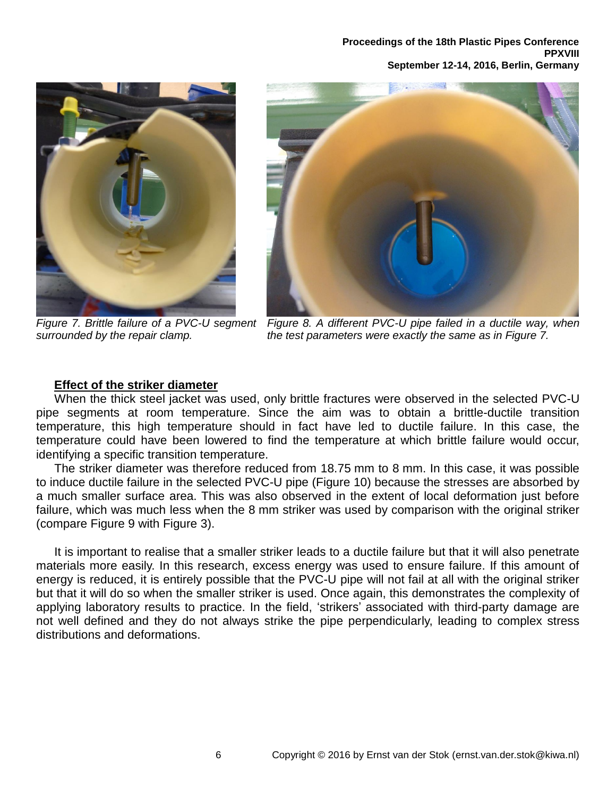**Proceedings of the 18th Plastic Pipes Conference PPXVIII September 12-14, 2016, Berlin, Germany**



*surrounded by the repair clamp.*



*Figure 7. Brittle failure of a PVC-U segment Figure 8. A different PVC-U pipe failed in a ductile way, when the test parameters were exactly the same as in [Figure 7.](#page-5-0)*

## <span id="page-5-1"></span><span id="page-5-0"></span>**Effect of the striker diameter**

When the thick steel jacket was used, only brittle fractures were observed in the selected PVC-U pipe segments at room temperature. Since the aim was to obtain a brittle-ductile transition temperature, this high temperature should in fact have led to ductile failure. In this case, the temperature could have been lowered to find the temperature at which brittle failure would occur, identifying a specific transition temperature.

The striker diameter was therefore reduced from 18.75 mm to 8 mm. In this case, it was possible to induce ductile failure in the selected PVC-U pipe [\(Figure 10\)](#page-6-0) because the stresses are absorbed by a much smaller surface area. This was also observed in the extent of local deformation just before failure, which was much less when the 8 mm striker was used by comparison with the original striker (compare [Figure 9](#page-6-1) with [Figure 3\)](#page-3-1).

It is important to realise that a smaller striker leads to a ductile failure but that it will also penetrate materials more easily. In this research, excess energy was used to ensure failure. If this amount of energy is reduced, it is entirely possible that the PVC-U pipe will not fail at all with the original striker but that it will do so when the smaller striker is used. Once again, this demonstrates the complexity of applying laboratory results to practice. In the field, 'strikers' associated with third-party damage are not well defined and they do not always strike the pipe perpendicularly, leading to complex stress distributions and deformations.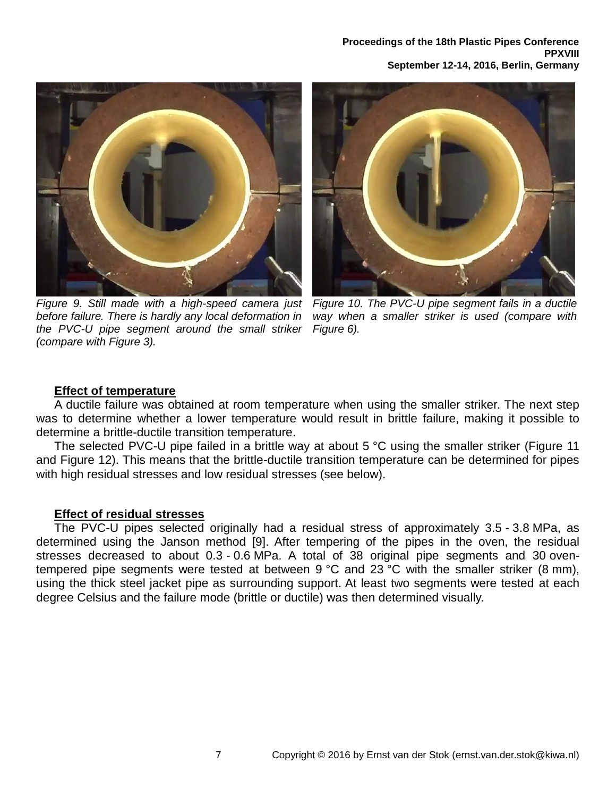

*Figure 9. Still made with a high-speed camera just before failure. There is hardly any local deformation in the PVC-U pipe segment around the small striker (compare with [Figure 3\)](#page-3-1).*

<span id="page-6-0"></span>

*Figure 10. The PVC-U pipe segment fails in a ductile way when a smaller striker is used (compare with [Figure 6\)](#page-3-3).*

#### <span id="page-6-1"></span>**Effect of temperature**

A ductile failure was obtained at room temperature when using the smaller striker. The next step was to determine whether a lower temperature would result in brittle failure, making it possible to determine a brittle-ductile transition temperature.

The selected PVC-U pipe failed in a brittle way at about 5 °C using the smaller striker [\(Figure 11](#page-7-0) and [Figure 12\)](#page-7-1). This means that the brittle-ductile transition temperature can be determined for pipes with high residual stresses and low residual stresses (see below).

## **Effect of residual stresses**

The PVC-U pipes selected originally had a residual stress of approximately 3.5 - 3.8 MPa, as determined using the Janson method [\[9\]](#page-2-1). After tempering of the pipes in the oven, the residual stresses decreased to about 0.3 - 0.6 MPa. A total of 38 original pipe segments and 30 oventempered pipe segments were tested at between 9 °C and 23 °C with the smaller striker (8 mm), using the thick steel jacket pipe as surrounding support. At least two segments were tested at each degree Celsius and the failure mode (brittle or ductile) was then determined visually.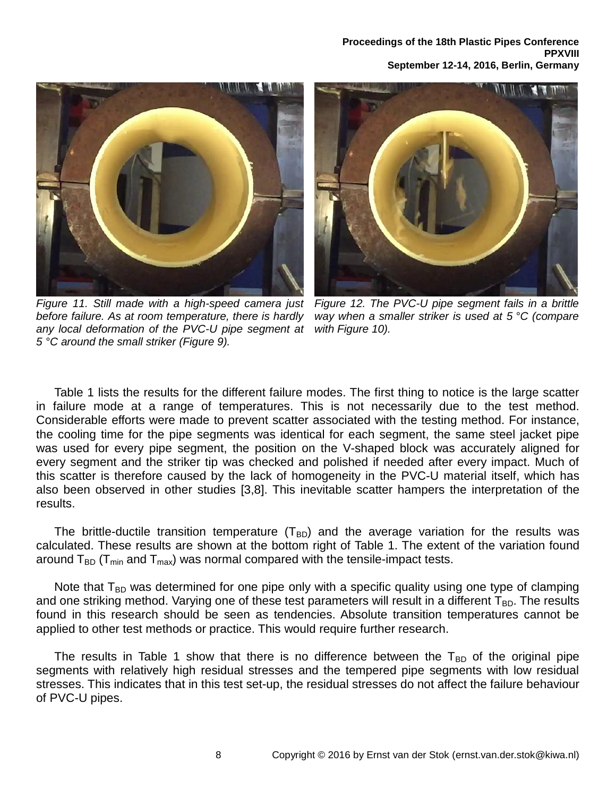

*Figure 11. Still made with a high-speed camera just before failure. As at room temperature, there is hardly any local deformation of the PVC-U pipe segment at 5 °C around the small striker [\(Figure 9\)](#page-6-1).*

<span id="page-7-1"></span>

*Figure 12. The PVC-U pipe segment fails in a brittle way when a smaller striker is used at 5 °C (compare with [Figure 10\)](#page-6-0).*

<span id="page-7-0"></span>[Table 1](#page-8-0) lists the results for the different failure modes. The first thing to notice is the large scatter in failure mode at a range of temperatures. This is not necessarily due to the test method. Considerable efforts were made to prevent scatter associated with the testing method. For instance, the cooling time for the pipe segments was identical for each segment, the same steel jacket pipe was used for every pipe segment, the position on the V-shaped block was accurately aligned for every segment and the striker tip was checked and polished if needed after every impact. Much of this scatter is therefore caused by the lack of homogeneity in the PVC-U material itself, which has also been observed in other studies [\[3](#page-1-0)[,8\]](#page-2-0). This inevitable scatter hampers the interpretation of the results.

The brittle-ductile transition temperature  $(T_{BD})$  and the average variation for the results was calculated. These results are shown at the bottom right of [Table 1.](#page-8-0) The extent of the variation found around  $T_{BD}$  (T<sub>min</sub> and T<sub>max</sub>) was normal compared with the tensile-impact tests.

Note that  $T_{BD}$  was determined for one pipe only with a specific quality using one type of clamping and one striking method. Varying one of these test parameters will result in a different  $T_{BD}$ . The results found in this research should be seen as tendencies. Absolute transition temperatures cannot be applied to other test methods or practice. This would require further research.

The results in [Table 1](#page-8-0) show that there is no difference between the  $T_{BD}$  of the original pipe segments with relatively high residual stresses and the tempered pipe segments with low residual stresses. This indicates that in this test set-up, the residual stresses do not affect the failure behaviour of PVC-U pipes.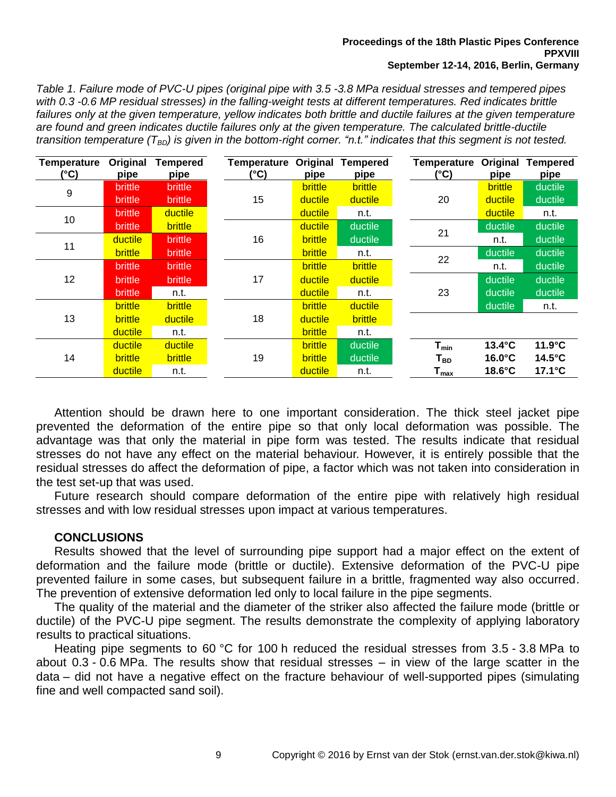#### **Proceedings of the 18th Plastic Pipes Conference PPXVIII September 12-14, 2016, Berlin, Germany**

<span id="page-8-0"></span>*Table 1. Failure mode of PVC-U pipes (original pipe with 3.5 -3.8 MPa residual stresses and tempered pipes with 0.3 -0.6 MP residual stresses) in the falling-weight tests at different temperatures. Red indicates brittle*  failures only at the given temperature, yellow indicates both brittle and ductile failures at the given temperature *are found and green indicates ductile failures only at the given temperature. The calculated brittle-ductile transition temperature (TBD) is given in the bottom-right corner. "n.t." indicates that this segment is not tested.*

| <b>Temperature</b><br>(°C) | Original<br>pipe | <b>Tempered</b><br>pipe | Temperature<br>(°C) | Original<br>pipe | <b>Tempered</b><br>pipe |  | Temperature<br>(°C)                            | Original<br>pipe | <b>Tempered</b><br>pipe |
|----------------------------|------------------|-------------------------|---------------------|------------------|-------------------------|--|------------------------------------------------|------------------|-------------------------|
| 9                          | brittle          | <b>brittle</b>          |                     | brittle          | <b>brittle</b>          |  |                                                | <b>brittle</b>   | ductile                 |
|                            | brittle          | brittle                 | 15                  | ductile          | ductile                 |  | 20                                             | ductile          | ductile                 |
| 10                         | <b>brittle</b>   | ductile                 |                     | ductile          | n.t.                    |  |                                                | ductile          | n.t.                    |
|                            | <b>brittle</b>   | <b>brittle</b>          |                     | ductile          | ductile                 |  | 21                                             | ductile          | ductile                 |
| 11                         | ductile          | <b>brittle</b>          | 16                  | brittle          | ductile                 |  |                                                | n.t.             | ductile                 |
|                            | brittle          | <b>brittle</b>          |                     | <b>brittle</b>   | n.t.                    |  | 22                                             | ductile          | ductile                 |
| 12                         | <b>brittle</b>   | <b>brittle</b>          | 17                  | brittle          | <b>brittle</b>          |  |                                                | n.t.             | ductile                 |
|                            | <b>brittle</b>   | <b>brittle</b>          |                     | ductile          | ductile                 |  | 23                                             | ductile          | ductile                 |
|                            | <b>brittle</b>   | n.t.                    |                     | ductile          | n.t.                    |  |                                                | ductile          | ductile                 |
| 13                         | brittle          | <b>brittle</b>          | 18                  | <b>brittle</b>   | ductile                 |  |                                                | ductile          | n.t.                    |
|                            | <b>brittle</b>   | ductile                 |                     | ductile          | brittle                 |  |                                                |                  |                         |
|                            | ductile          | n.t.                    |                     | <b>brittle</b>   | n.t.                    |  |                                                |                  |                         |
| 14                         | ductile          | ductile                 | 19                  | brittle          | ductile                 |  | $T_{min}$                                      | 13.4°C           | $11.9^{\circ}C$         |
|                            | brittle          | <b>brittle</b>          |                     | <b>brittle</b>   | ductile                 |  | Т <sub>вр</sub><br>$\mathsf{T}_{\mathsf{max}}$ | $16.0^{\circ}$ C | $14.5^{\circ}$ C        |
|                            | ductile          | n.t.                    |                     | ductile          | n.t.                    |  |                                                | $18.6^{\circ}$ C | $17.1^{\circ}$ C        |

Attention should be drawn here to one important consideration. The thick steel jacket pipe prevented the deformation of the entire pipe so that only local deformation was possible. The advantage was that only the material in pipe form was tested. The results indicate that residual stresses do not have any effect on the material behaviour. However, it is entirely possible that the residual stresses do affect the deformation of pipe, a factor which was not taken into consideration in the test set-up that was used.

Future research should compare deformation of the entire pipe with relatively high residual stresses and with low residual stresses upon impact at various temperatures.

## **CONCLUSIONS**

Results showed that the level of surrounding pipe support had a major effect on the extent of deformation and the failure mode (brittle or ductile). Extensive deformation of the PVC-U pipe prevented failure in some cases, but subsequent failure in a brittle, fragmented way also occurred. The prevention of extensive deformation led only to local failure in the pipe segments.

The quality of the material and the diameter of the striker also affected the failure mode (brittle or ductile) of the PVC-U pipe segment. The results demonstrate the complexity of applying laboratory results to practical situations.

Heating pipe segments to 60 °C for 100 h reduced the residual stresses from 3.5 - 3.8 MPa to about 0.3 - 0.6 MPa. The results show that residual stresses – in view of the large scatter in the data – did not have a negative effect on the fracture behaviour of well-supported pipes (simulating fine and well compacted sand soil).